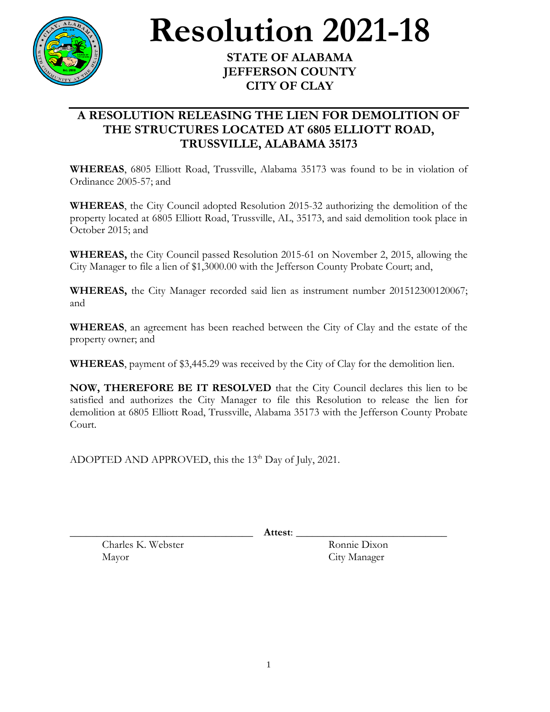

## **Resolution 2021-18**

## **STATE OF ALABAMA JEFFERSON COUNTY CITY OF CLAY**

## **A RESOLUTION RELEASING THE LIEN FOR DEMOLITION OF THE STRUCTURES LOCATED AT 6805 ELLIOTT ROAD, TRUSSVILLE, ALABAMA 35173**

**WHEREAS**, 6805 Elliott Road, Trussville, Alabama 35173 was found to be in violation of Ordinance 2005-57; and

**WHEREAS**, the City Council adopted Resolution 2015-32 authorizing the demolition of the property located at 6805 Elliott Road, Trussville, AL, 35173, and said demolition took place in October 2015; and

**WHEREAS,** the City Council passed Resolution 2015-61 on November 2, 2015, allowing the City Manager to file a lien of \$1,3000.00 with the Jefferson County Probate Court; and,

**WHEREAS,** the City Manager recorded said lien as instrument number 201512300120067; and

**WHEREAS**, an agreement has been reached between the City of Clay and the estate of the property owner; and

**WHEREAS**, payment of \$3,445.29 was received by the City of Clay for the demolition lien.

**NOW, THEREFORE BE IT RESOLVED** that the City Council declares this lien to be satisfied and authorizes the City Manager to file this Resolution to release the lien for demolition at 6805 Elliott Road, Trussville, Alabama 35173 with the Jefferson County Probate Court.

ADOPTED AND APPROVED, this the  $13<sup>th</sup>$  Day of July, 2021.

\_\_\_\_\_\_\_\_\_\_\_\_\_\_\_\_\_\_\_\_\_\_\_\_\_\_\_\_\_\_\_\_\_\_ **Attest**: \_\_\_\_\_\_\_\_\_\_\_\_\_\_\_\_\_\_\_\_\_\_\_\_\_\_\_\_

Charles K. Webster Ronnie Dixon Mayor City Manager